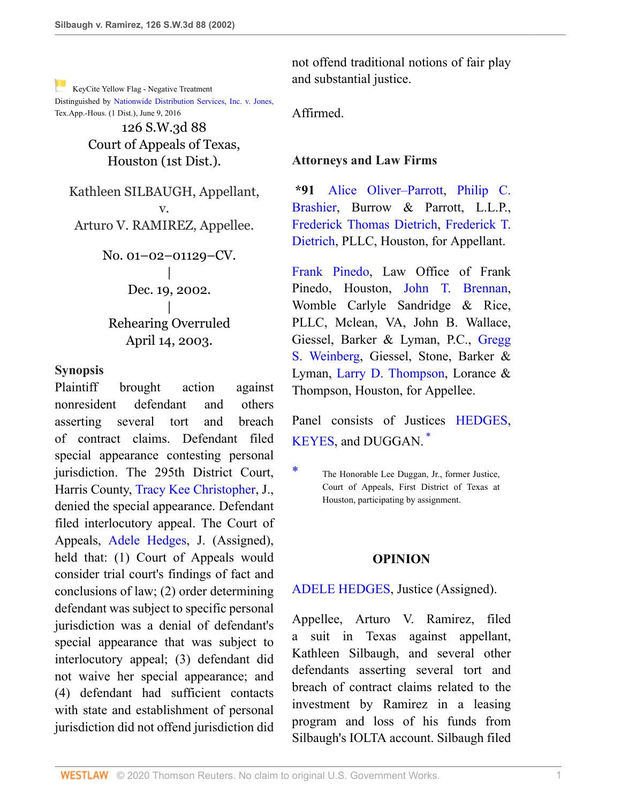[K](http://www.westlaw.com/Link/RelatedInformation/Flag?documentGuid=I8623cbd5e7b511d983e7e9deff98dc6f&transitionType=Document&originationContext=docHeaderFlag&Rank=0&rs=cblt1.0&vr=3.0&contextData=(sc.UserEnteredCitation))eyCite Yellow Flag - Negative Treatment Distinguished by [Nationwide Distribution Services, Inc. v. Jones,](https://www.westlaw.com/Document/I5516b2302ec311e68a49905015f0787e/View/FullText.html?navigationPath=RelatedInfo%2Fv4%2Fkeycite%2Fnav%2F%3Fguid%3DI5516b2302ec311e68a49905015f0787e%26ss%3D2002789714%26ds%3D2039153478%26origDocGuid%3DI8623cbd5e7b511d983e7e9deff98dc6f&listSource=RelatedInfo&list=NegativeCitingReferences&rank=0&originationContext=docHeader&transitionType=NegativeTreatment&contextData=%28sc.UserEnteredCitation%29&VR=3.0&RS=cblt1.0 ) Tex.App.-Hous. (1 Dist.), June 9, 2016

> 126 S.W.3d 88 Court of Appeals of Texas, Houston (1st Dist.).

Kathleen SILBAUGH, Appellant, v. Arturo V. RAMIREZ, Appellee.

> No. 01–02–01129–CV. | Dec. 19, 2002. | Rehearing Overruled April 14, 2003.

#### **Synopsis**

Plaintiff brought action against nonresident defendant and others asserting several tort and breach of contract claims. Defendant filed special appearance contesting personal jurisdiction. The 295th District Court, Harris County, [Tracy Kee Christopher,](http://www.westlaw.com/Link/Document/FullText?findType=h&pubNum=176284&cite=0316739801&originatingDoc=I8623cbd5e7b511d983e7e9deff98dc6f&refType=RQ&originationContext=document&vr=3.0&rs=cblt1.0&transitionType=DocumentItem&contextData=(sc.UserEnteredCitation)) J., denied the special appearance. Defendant filed interlocutory appeal. The Court of Appeals, [Adele Hedges,](http://www.westlaw.com/Link/Document/FullText?findType=h&pubNum=176284&cite=0481796401&originatingDoc=I8623cbd5e7b511d983e7e9deff98dc6f&refType=RQ&originationContext=document&vr=3.0&rs=cblt1.0&transitionType=DocumentItem&contextData=(sc.UserEnteredCitation)) J. (Assigned), held that: (1) Court of Appeals would consider trial court's findings of fact and conclusions of law; (2) order determining defendant was subject to specific personal jurisdiction was a denial of defendant's special appearance that was subject to interlocutory appeal; (3) defendant did not waive her special appearance; and (4) defendant had sufficient contacts with state and establishment of personal jurisdiction did not offend jurisdiction did

not offend traditional notions of fair play and substantial justice.

Affirmed.

## **Attorneys and Law Firms**

**\*91** [Alice Oliver–Parrott](http://www.westlaw.com/Link/Document/FullText?findType=h&pubNum=176284&cite=0124515301&originatingDoc=I8623cbd5e7b511d983e7e9deff98dc6f&refType=RQ&originationContext=document&vr=3.0&rs=cblt1.0&transitionType=DocumentItem&contextData=(sc.UserEnteredCitation)), [Philip C.](http://www.westlaw.com/Link/Document/FullText?findType=h&pubNum=176284&cite=0238226401&originatingDoc=I8623cbd5e7b511d983e7e9deff98dc6f&refType=RQ&originationContext=document&vr=3.0&rs=cblt1.0&transitionType=DocumentItem&contextData=(sc.UserEnteredCitation)) [Brashier,](http://www.westlaw.com/Link/Document/FullText?findType=h&pubNum=176284&cite=0238226401&originatingDoc=I8623cbd5e7b511d983e7e9deff98dc6f&refType=RQ&originationContext=document&vr=3.0&rs=cblt1.0&transitionType=DocumentItem&contextData=(sc.UserEnteredCitation)) Burrow & Parrott, L.L.P., [Frederick Thomas Dietrich](http://www.westlaw.com/Link/Document/FullText?findType=h&pubNum=176284&cite=0282955901&originatingDoc=I8623cbd5e7b511d983e7e9deff98dc6f&refType=RQ&originationContext=document&vr=3.0&rs=cblt1.0&transitionType=DocumentItem&contextData=(sc.UserEnteredCitation)), [Frederick T.](http://www.westlaw.com/Link/Document/FullText?findType=h&pubNum=176284&cite=0282955901&originatingDoc=I8623cbd5e7b511d983e7e9deff98dc6f&refType=RQ&originationContext=document&vr=3.0&rs=cblt1.0&transitionType=DocumentItem&contextData=(sc.UserEnteredCitation)) [Dietrich,](http://www.westlaw.com/Link/Document/FullText?findType=h&pubNum=176284&cite=0282955901&originatingDoc=I8623cbd5e7b511d983e7e9deff98dc6f&refType=RQ&originationContext=document&vr=3.0&rs=cblt1.0&transitionType=DocumentItem&contextData=(sc.UserEnteredCitation)) PLLC, Houston, for Appellant.

[Frank Pinedo](http://www.westlaw.com/Link/Document/FullText?findType=h&pubNum=176284&cite=0300951901&originatingDoc=I8623cbd5e7b511d983e7e9deff98dc6f&refType=RQ&originationContext=document&vr=3.0&rs=cblt1.0&transitionType=DocumentItem&contextData=(sc.UserEnteredCitation)), Law Office of Frank Pinedo, Houston, [John T. Brennan,](http://www.westlaw.com/Link/Document/FullText?findType=h&pubNum=176284&cite=0429344701&originatingDoc=I8623cbd5e7b511d983e7e9deff98dc6f&refType=RQ&originationContext=document&vr=3.0&rs=cblt1.0&transitionType=DocumentItem&contextData=(sc.UserEnteredCitation)) Womble Carlyle Sandridge & Rice, PLLC, Mclean, VA, John B. Wallace, Giessel, Barker & Lyman, P.C., [Gregg](http://www.westlaw.com/Link/Document/FullText?findType=h&pubNum=176284&cite=0139255401&originatingDoc=I8623cbd5e7b511d983e7e9deff98dc6f&refType=RQ&originationContext=document&vr=3.0&rs=cblt1.0&transitionType=DocumentItem&contextData=(sc.UserEnteredCitation)) [S. Weinberg,](http://www.westlaw.com/Link/Document/FullText?findType=h&pubNum=176284&cite=0139255401&originatingDoc=I8623cbd5e7b511d983e7e9deff98dc6f&refType=RQ&originationContext=document&vr=3.0&rs=cblt1.0&transitionType=DocumentItem&contextData=(sc.UserEnteredCitation)) Giessel, Stone, Barker & Lyman, [Larry D. Thompson,](http://www.westlaw.com/Link/Document/FullText?findType=h&pubNum=176284&cite=0128083401&originatingDoc=I8623cbd5e7b511d983e7e9deff98dc6f&refType=RQ&originationContext=document&vr=3.0&rs=cblt1.0&transitionType=DocumentItem&contextData=(sc.UserEnteredCitation)) Lorance & Thompson, Houston, for Appellee.

<span id="page-0-1"></span>Panel consists of Justices [HEDGES,](http://www.westlaw.com/Link/Document/FullText?findType=h&pubNum=176284&cite=0481796401&originatingDoc=I8623cbd5e7b511d983e7e9deff98dc6f&refType=RQ&originationContext=document&vr=3.0&rs=cblt1.0&transitionType=DocumentItem&contextData=(sc.UserEnteredCitation)) [KEYES,](http://www.westlaw.com/Link/Document/FullText?findType=h&pubNum=176284&cite=0149375801&originatingDoc=I8623cbd5e7b511d983e7e9deff98dc6f&refType=RQ&originationContext=document&vr=3.0&rs=cblt1.0&transitionType=DocumentItem&contextData=(sc.UserEnteredCitation)) and DUGGAN. [\\*](#page-0-0)

## **OPINION**

## [ADELE HEDGES](http://www.westlaw.com/Link/Document/FullText?findType=h&pubNum=176284&cite=0481796401&originatingDoc=I8623cbd5e7b511d983e7e9deff98dc6f&refType=RQ&originationContext=document&vr=3.0&rs=cblt1.0&transitionType=DocumentItem&contextData=(sc.UserEnteredCitation)), Justice (Assigned).

Appellee, Arturo V. Ramirez, filed a suit in Texas against appellant, Kathleen Silbaugh, and several other defendants asserting several tort and breach of contract claims related to the investment by Ramirez in a leasing program and loss of his funds from Silbaugh's IOLTA account. Silbaugh filed

<span id="page-0-0"></span>[<sup>\\*</sup>](#page-0-1) The Honorable Lee Duggan, Jr., former Justice, Court of Appeals, First District of Texas at Houston, participating by assignment.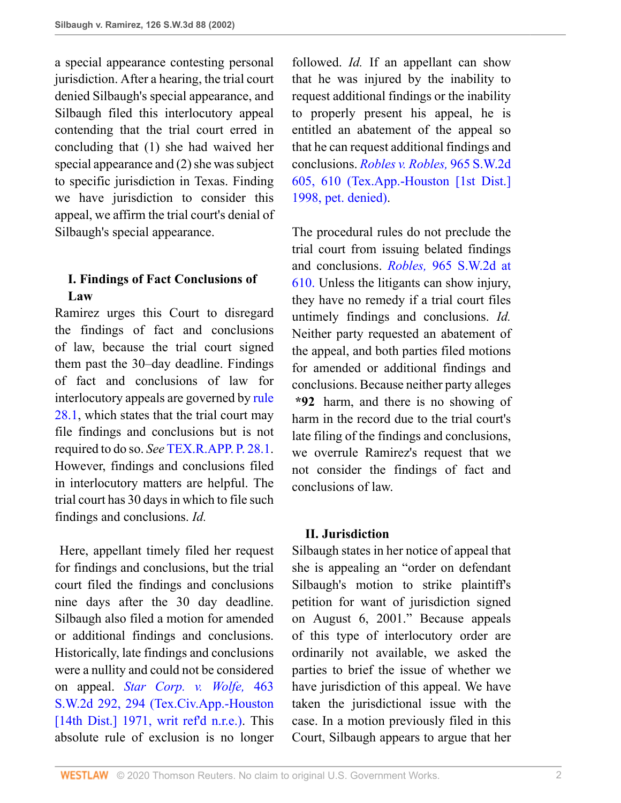a special appearance contesting personal jurisdiction. After a hearing, the trial court denied Silbaugh's special appearance, and Silbaugh filed this interlocutory appeal contending that the trial court erred in concluding that (1) she had waived her special appearance and (2) she was subject to specific jurisdiction in Texas. Finding we have jurisdiction to consider this appeal, we affirm the trial court's denial of Silbaugh's special appearance.

# **I. Findings of Fact Conclusions of Law**

Ramirez urges this Court to disregard the findings of fact and conclusions of law, because the trial court signed them past the 30–day deadline. Findings of fact and conclusions of law for interlocutory appeals are governed by [rule](http://www.westlaw.com/Link/Document/FullText?findType=L&pubNum=1005293&cite=TXRRAPR28.1&originatingDoc=I8623cbd5e7b511d983e7e9deff98dc6f&refType=LQ&originationContext=document&vr=3.0&rs=cblt1.0&transitionType=DocumentItem&contextData=(sc.UserEnteredCitation)) [28.1,](http://www.westlaw.com/Link/Document/FullText?findType=L&pubNum=1005293&cite=TXRRAPR28.1&originatingDoc=I8623cbd5e7b511d983e7e9deff98dc6f&refType=LQ&originationContext=document&vr=3.0&rs=cblt1.0&transitionType=DocumentItem&contextData=(sc.UserEnteredCitation)) which states that the trial court may file findings and conclusions but is not required to do so. *See* [TEX.R.APP. P. 28.1.](http://www.westlaw.com/Link/Document/FullText?findType=L&pubNum=1005293&cite=TXRRAPR28.1&originatingDoc=I8623cbd5e7b511d983e7e9deff98dc6f&refType=LQ&originationContext=document&vr=3.0&rs=cblt1.0&transitionType=DocumentItem&contextData=(sc.UserEnteredCitation)) However, findings and conclusions filed in interlocutory matters are helpful. The trial court has 30 days in which to file such findings and conclusions. *Id.*

 Here, appellant timely filed her request for findings and conclusions, but the trial court filed the findings and conclusions nine days after the 30 day deadline. Silbaugh also filed a motion for amended or additional findings and conclusions. Historically, late findings and conclusions were a nullity and could not be considered on appeal. *[Star Corp. v. Wolfe,](http://www.westlaw.com/Link/Document/FullText?findType=Y&serNum=1971129706&pubNum=0000713&originatingDoc=I8623cbd5e7b511d983e7e9deff98dc6f&refType=RP&fi=co_pp_sp_713_294&originationContext=document&vr=3.0&rs=cblt1.0&transitionType=DocumentItem&contextData=(sc.UserEnteredCitation)#co_pp_sp_713_294)* 463 [S.W.2d 292, 294 \(Tex.Civ.App.-Houston](http://www.westlaw.com/Link/Document/FullText?findType=Y&serNum=1971129706&pubNum=0000713&originatingDoc=I8623cbd5e7b511d983e7e9deff98dc6f&refType=RP&fi=co_pp_sp_713_294&originationContext=document&vr=3.0&rs=cblt1.0&transitionType=DocumentItem&contextData=(sc.UserEnteredCitation)#co_pp_sp_713_294) [\[14th Dist.\] 1971, writ ref'd n.r.e.\).](http://www.westlaw.com/Link/Document/FullText?findType=Y&serNum=1971129706&pubNum=0000713&originatingDoc=I8623cbd5e7b511d983e7e9deff98dc6f&refType=RP&fi=co_pp_sp_713_294&originationContext=document&vr=3.0&rs=cblt1.0&transitionType=DocumentItem&contextData=(sc.UserEnteredCitation)#co_pp_sp_713_294) This absolute rule of exclusion is no longer followed. *Id.* If an appellant can show that he was injured by the inability to request additional findings or the inability to properly present his appeal, he is entitled an abatement of the appeal so that he can request additional findings and conclusions. *[Robles v. Robles,](http://www.westlaw.com/Link/Document/FullText?findType=Y&serNum=1998071330&pubNum=0000713&originatingDoc=I8623cbd5e7b511d983e7e9deff98dc6f&refType=RP&fi=co_pp_sp_713_610&originationContext=document&vr=3.0&rs=cblt1.0&transitionType=DocumentItem&contextData=(sc.UserEnteredCitation)#co_pp_sp_713_610)* 965 S.W.2d [605, 610 \(Tex.App.-Houston \[1st Dist.\]](http://www.westlaw.com/Link/Document/FullText?findType=Y&serNum=1998071330&pubNum=0000713&originatingDoc=I8623cbd5e7b511d983e7e9deff98dc6f&refType=RP&fi=co_pp_sp_713_610&originationContext=document&vr=3.0&rs=cblt1.0&transitionType=DocumentItem&contextData=(sc.UserEnteredCitation)#co_pp_sp_713_610) [1998, pet. denied\).](http://www.westlaw.com/Link/Document/FullText?findType=Y&serNum=1998071330&pubNum=0000713&originatingDoc=I8623cbd5e7b511d983e7e9deff98dc6f&refType=RP&fi=co_pp_sp_713_610&originationContext=document&vr=3.0&rs=cblt1.0&transitionType=DocumentItem&contextData=(sc.UserEnteredCitation)#co_pp_sp_713_610)

The procedural rules do not preclude the trial court from issuing belated findings and conclusions. *Robles,* [965 S.W.2d at](http://www.westlaw.com/Link/Document/FullText?findType=Y&serNum=1998071330&pubNum=713&originatingDoc=I8623cbd5e7b511d983e7e9deff98dc6f&refType=RP&fi=co_pp_sp_713_610&originationContext=document&vr=3.0&rs=cblt1.0&transitionType=DocumentItem&contextData=(sc.UserEnteredCitation)#co_pp_sp_713_610) [610.](http://www.westlaw.com/Link/Document/FullText?findType=Y&serNum=1998071330&pubNum=713&originatingDoc=I8623cbd5e7b511d983e7e9deff98dc6f&refType=RP&fi=co_pp_sp_713_610&originationContext=document&vr=3.0&rs=cblt1.0&transitionType=DocumentItem&contextData=(sc.UserEnteredCitation)#co_pp_sp_713_610) Unless the litigants can show injury, they have no remedy if a trial court files untimely findings and conclusions. *Id.* Neither party requested an abatement of the appeal, and both parties filed motions for amended or additional findings and conclusions. Because neither party alleges **\*92** harm, and there is no showing of harm in the record due to the trial court's late filing of the findings and conclusions, we overrule Ramirez's request that we not consider the findings of fact and conclusions of law.

## **II. Jurisdiction**

Silbaugh states in her notice of appeal that she is appealing an "order on defendant Silbaugh's motion to strike plaintiff's petition for want of jurisdiction signed on August 6, 2001." Because appeals of this type of interlocutory order are ordinarily not available, we asked the parties to brief the issue of whether we have jurisdiction of this appeal. We have taken the jurisdictional issue with the case. In a motion previously filed in this Court, Silbaugh appears to argue that her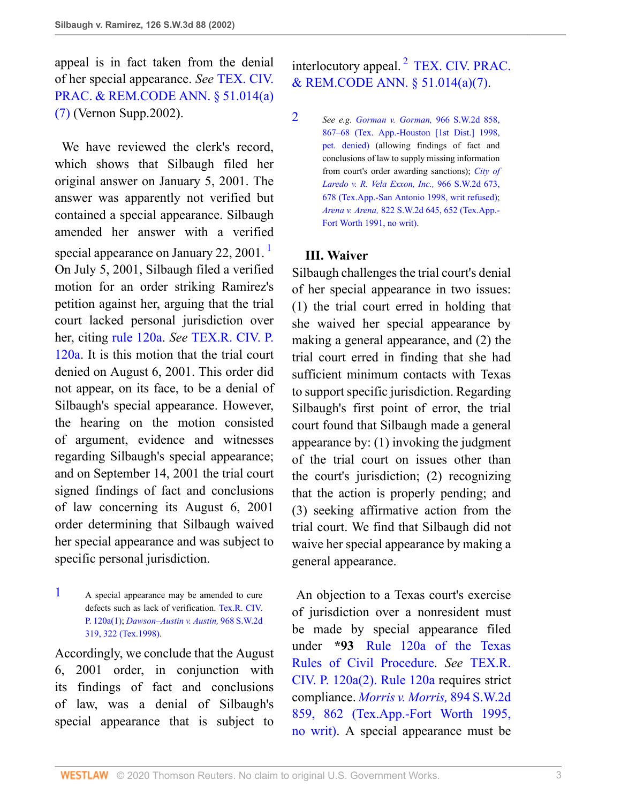appeal is in fact taken from the denial of her special appearance. *See* [TEX. CIV.](http://www.westlaw.com/Link/Document/FullText?findType=L&pubNum=1000170&cite=TXCPS51.014&originatingDoc=I8623cbd5e7b511d983e7e9deff98dc6f&refType=SP&originationContext=document&vr=3.0&rs=cblt1.0&transitionType=DocumentItem&contextData=(sc.UserEnteredCitation)#co_pp_36f10000408d4) [PRAC. & REM.CODE ANN. § 51.014\(a\)](http://www.westlaw.com/Link/Document/FullText?findType=L&pubNum=1000170&cite=TXCPS51.014&originatingDoc=I8623cbd5e7b511d983e7e9deff98dc6f&refType=SP&originationContext=document&vr=3.0&rs=cblt1.0&transitionType=DocumentItem&contextData=(sc.UserEnteredCitation)#co_pp_36f10000408d4) [\(7\)](http://www.westlaw.com/Link/Document/FullText?findType=L&pubNum=1000170&cite=TXCPS51.014&originatingDoc=I8623cbd5e7b511d983e7e9deff98dc6f&refType=SP&originationContext=document&vr=3.0&rs=cblt1.0&transitionType=DocumentItem&contextData=(sc.UserEnteredCitation)#co_pp_36f10000408d4) (Vernon Supp.2002).

We have reviewed the clerk's record, which shows that Silbaugh filed her original answer on January 5, 2001. The answer was apparently not verified but contained a special appearance. Silbaugh amended her answer with a verified special appearance on January 22, 200[1](#page-2-0).<sup>1</sup> On July 5, 2001, Silbaugh filed a verified motion for an order striking Ramirez's petition against her, arguing that the trial court lacked personal jurisdiction over her, citing [rule 120a.](http://www.westlaw.com/Link/Document/FullText?findType=L&pubNum=1003817&cite=TXRRCPR120A&originatingDoc=I8623cbd5e7b511d983e7e9deff98dc6f&refType=LQ&originationContext=document&vr=3.0&rs=cblt1.0&transitionType=DocumentItem&contextData=(sc.UserEnteredCitation)) *See* [TEX.R. CIV. P.](http://www.westlaw.com/Link/Document/FullText?findType=L&pubNum=1003817&cite=TXRRCPR120A&originatingDoc=I8623cbd5e7b511d983e7e9deff98dc6f&refType=LQ&originationContext=document&vr=3.0&rs=cblt1.0&transitionType=DocumentItem&contextData=(sc.UserEnteredCitation)) [120a](http://www.westlaw.com/Link/Document/FullText?findType=L&pubNum=1003817&cite=TXRRCPR120A&originatingDoc=I8623cbd5e7b511d983e7e9deff98dc6f&refType=LQ&originationContext=document&vr=3.0&rs=cblt1.0&transitionType=DocumentItem&contextData=(sc.UserEnteredCitation)). It is this motion that the trial court denied on August 6, 2001. This order did not appear, on its face, to be a denial of Silbaugh's special appearance. However, the hearing on the motion consisted of argument, evidence and witnesses regarding Silbaugh's special appearance; and on September 14, 2001 the trial court signed findings of fact and conclusions of law concerning its August 6, 2001 order determining that Silbaugh waived her special appearance and was subject to specific personal jurisdiction.

<span id="page-2-0"></span>[1](#page-2-1) A special appearance may be amended to cure defects such as lack of verification. [Tex.R. CIV.](http://www.westlaw.com/Link/Document/FullText?findType=L&pubNum=1003817&cite=TXRRCPR120A&originatingDoc=I8623cbd5e7b511d983e7e9deff98dc6f&refType=LQ&originationContext=document&vr=3.0&rs=cblt1.0&transitionType=DocumentItem&contextData=(sc.UserEnteredCitation)) [P. 120a\(1\)](http://www.westlaw.com/Link/Document/FullText?findType=L&pubNum=1003817&cite=TXRRCPR120A&originatingDoc=I8623cbd5e7b511d983e7e9deff98dc6f&refType=LQ&originationContext=document&vr=3.0&rs=cblt1.0&transitionType=DocumentItem&contextData=(sc.UserEnteredCitation)); *[Dawson–Austin v. Austin,](http://www.westlaw.com/Link/Document/FullText?findType=Y&serNum=1998051838&pubNum=0000713&originatingDoc=I8623cbd5e7b511d983e7e9deff98dc6f&refType=RP&fi=co_pp_sp_713_322&originationContext=document&vr=3.0&rs=cblt1.0&transitionType=DocumentItem&contextData=(sc.UserEnteredCitation)#co_pp_sp_713_322)* 968 S.W.2d [319, 322 \(Tex.1998\)](http://www.westlaw.com/Link/Document/FullText?findType=Y&serNum=1998051838&pubNum=0000713&originatingDoc=I8623cbd5e7b511d983e7e9deff98dc6f&refType=RP&fi=co_pp_sp_713_322&originationContext=document&vr=3.0&rs=cblt1.0&transitionType=DocumentItem&contextData=(sc.UserEnteredCitation)#co_pp_sp_713_322).

Accordingly, we conclude that the August 6, 2001 order, in conjunction with its findings of fact and conclusions of law, was a denial of Silbaugh's special appearance that is subject to

<span id="page-2-3"></span>interlocutory appeal. [2](#page-2-2) [TEX. CIV. PRAC.](http://www.westlaw.com/Link/Document/FullText?findType=L&pubNum=1000170&cite=TXCPS51.014&originatingDoc=I8623cbd5e7b511d983e7e9deff98dc6f&refType=SP&originationContext=document&vr=3.0&rs=cblt1.0&transitionType=DocumentItem&contextData=(sc.UserEnteredCitation)#co_pp_36f10000408d4) [& REM.CODE ANN. § 51.014\(a\)\(7\)](http://www.westlaw.com/Link/Document/FullText?findType=L&pubNum=1000170&cite=TXCPS51.014&originatingDoc=I8623cbd5e7b511d983e7e9deff98dc6f&refType=SP&originationContext=document&vr=3.0&rs=cblt1.0&transitionType=DocumentItem&contextData=(sc.UserEnteredCitation)#co_pp_36f10000408d4).

<span id="page-2-2"></span>[2](#page-2-3) *See e.g. [Gorman v. Gorman,](http://www.westlaw.com/Link/Document/FullText?findType=Y&serNum=1998091531&pubNum=0000713&originatingDoc=I8623cbd5e7b511d983e7e9deff98dc6f&refType=RP&fi=co_pp_sp_713_867&originationContext=document&vr=3.0&rs=cblt1.0&transitionType=DocumentItem&contextData=(sc.UserEnteredCitation)#co_pp_sp_713_867)* 966 S.W.2d 858, [867–68 \(Tex. App.-Houston \[1st Dist.\] 1998,](http://www.westlaw.com/Link/Document/FullText?findType=Y&serNum=1998091531&pubNum=0000713&originatingDoc=I8623cbd5e7b511d983e7e9deff98dc6f&refType=RP&fi=co_pp_sp_713_867&originationContext=document&vr=3.0&rs=cblt1.0&transitionType=DocumentItem&contextData=(sc.UserEnteredCitation)#co_pp_sp_713_867) [pet. denied\)](http://www.westlaw.com/Link/Document/FullText?findType=Y&serNum=1998091531&pubNum=0000713&originatingDoc=I8623cbd5e7b511d983e7e9deff98dc6f&refType=RP&fi=co_pp_sp_713_867&originationContext=document&vr=3.0&rs=cblt1.0&transitionType=DocumentItem&contextData=(sc.UserEnteredCitation)#co_pp_sp_713_867) (allowing findings of fact and conclusions of law to supply missing information from court's order awarding sanctions); *[City of](http://www.westlaw.com/Link/Document/FullText?findType=Y&serNum=1998060729&pubNum=0000713&originatingDoc=I8623cbd5e7b511d983e7e9deff98dc6f&refType=RP&fi=co_pp_sp_713_678&originationContext=document&vr=3.0&rs=cblt1.0&transitionType=DocumentItem&contextData=(sc.UserEnteredCitation)#co_pp_sp_713_678) [Laredo v. R. Vela Exxon, Inc.,](http://www.westlaw.com/Link/Document/FullText?findType=Y&serNum=1998060729&pubNum=0000713&originatingDoc=I8623cbd5e7b511d983e7e9deff98dc6f&refType=RP&fi=co_pp_sp_713_678&originationContext=document&vr=3.0&rs=cblt1.0&transitionType=DocumentItem&contextData=(sc.UserEnteredCitation)#co_pp_sp_713_678)* 966 S.W.2d 673, [678 \(Tex.App.-San Antonio 1998, writ refused\);](http://www.westlaw.com/Link/Document/FullText?findType=Y&serNum=1998060729&pubNum=0000713&originatingDoc=I8623cbd5e7b511d983e7e9deff98dc6f&refType=RP&fi=co_pp_sp_713_678&originationContext=document&vr=3.0&rs=cblt1.0&transitionType=DocumentItem&contextData=(sc.UserEnteredCitation)#co_pp_sp_713_678) *Arena v. Arena,* [822 S.W.2d 645, 652 \(Tex.App.-](http://www.westlaw.com/Link/Document/FullText?findType=Y&serNum=1991187440&pubNum=0000713&originatingDoc=I8623cbd5e7b511d983e7e9deff98dc6f&refType=RP&fi=co_pp_sp_713_652&originationContext=document&vr=3.0&rs=cblt1.0&transitionType=DocumentItem&contextData=(sc.UserEnteredCitation)#co_pp_sp_713_652) [Fort Worth 1991, no writ\).](http://www.westlaw.com/Link/Document/FullText?findType=Y&serNum=1991187440&pubNum=0000713&originatingDoc=I8623cbd5e7b511d983e7e9deff98dc6f&refType=RP&fi=co_pp_sp_713_652&originationContext=document&vr=3.0&rs=cblt1.0&transitionType=DocumentItem&contextData=(sc.UserEnteredCitation)#co_pp_sp_713_652)

## **III. Waiver**

<span id="page-2-1"></span>Silbaugh challenges the trial court's denial of her special appearance in two issues: (1) the trial court erred in holding that she waived her special appearance by making a general appearance, and (2) the trial court erred in finding that she had sufficient minimum contacts with Texas to support specific jurisdiction. Regarding Silbaugh's first point of error, the trial court found that Silbaugh made a general appearance by: (1) invoking the judgment of the trial court on issues other than the court's jurisdiction; (2) recognizing that the action is properly pending; and (3) seeking affirmative action from the trial court. We find that Silbaugh did not waive her special appearance by making a general appearance.

 An objection to a Texas court's exercise of jurisdiction over a nonresident must be made by special appearance filed under **\*93** [Rule 120a of the Texas](http://www.westlaw.com/Link/Document/FullText?findType=L&pubNum=1003817&cite=TXRRCPR120A&originatingDoc=I8623cbd5e7b511d983e7e9deff98dc6f&refType=LQ&originationContext=document&vr=3.0&rs=cblt1.0&transitionType=DocumentItem&contextData=(sc.UserEnteredCitation)) [Rules of Civil Procedure](http://www.westlaw.com/Link/Document/FullText?findType=L&pubNum=1003817&cite=TXRRCPR120A&originatingDoc=I8623cbd5e7b511d983e7e9deff98dc6f&refType=LQ&originationContext=document&vr=3.0&rs=cblt1.0&transitionType=DocumentItem&contextData=(sc.UserEnteredCitation)). *See* [TEX.R.](http://www.westlaw.com/Link/Document/FullText?findType=L&pubNum=1003817&cite=TXRRCPR120A&originatingDoc=I8623cbd5e7b511d983e7e9deff98dc6f&refType=LQ&originationContext=document&vr=3.0&rs=cblt1.0&transitionType=DocumentItem&contextData=(sc.UserEnteredCitation)) [CIV. P. 120a\(2\). Rule 120a](http://www.westlaw.com/Link/Document/FullText?findType=L&pubNum=1003817&cite=TXRRCPR120A&originatingDoc=I8623cbd5e7b511d983e7e9deff98dc6f&refType=LQ&originationContext=document&vr=3.0&rs=cblt1.0&transitionType=DocumentItem&contextData=(sc.UserEnteredCitation)) requires strict compliance. *[Morris v. Morris,](http://www.westlaw.com/Link/Document/FullText?findType=Y&serNum=1995057459&pubNum=0000713&originatingDoc=I8623cbd5e7b511d983e7e9deff98dc6f&refType=RP&fi=co_pp_sp_713_862&originationContext=document&vr=3.0&rs=cblt1.0&transitionType=DocumentItem&contextData=(sc.UserEnteredCitation)#co_pp_sp_713_862)* 894 S.W.2d [859, 862 \(Tex.App.-Fort Worth 1995,](http://www.westlaw.com/Link/Document/FullText?findType=Y&serNum=1995057459&pubNum=0000713&originatingDoc=I8623cbd5e7b511d983e7e9deff98dc6f&refType=RP&fi=co_pp_sp_713_862&originationContext=document&vr=3.0&rs=cblt1.0&transitionType=DocumentItem&contextData=(sc.UserEnteredCitation)#co_pp_sp_713_862) [no writ\).](http://www.westlaw.com/Link/Document/FullText?findType=Y&serNum=1995057459&pubNum=0000713&originatingDoc=I8623cbd5e7b511d983e7e9deff98dc6f&refType=RP&fi=co_pp_sp_713_862&originationContext=document&vr=3.0&rs=cblt1.0&transitionType=DocumentItem&contextData=(sc.UserEnteredCitation)#co_pp_sp_713_862) A special appearance must be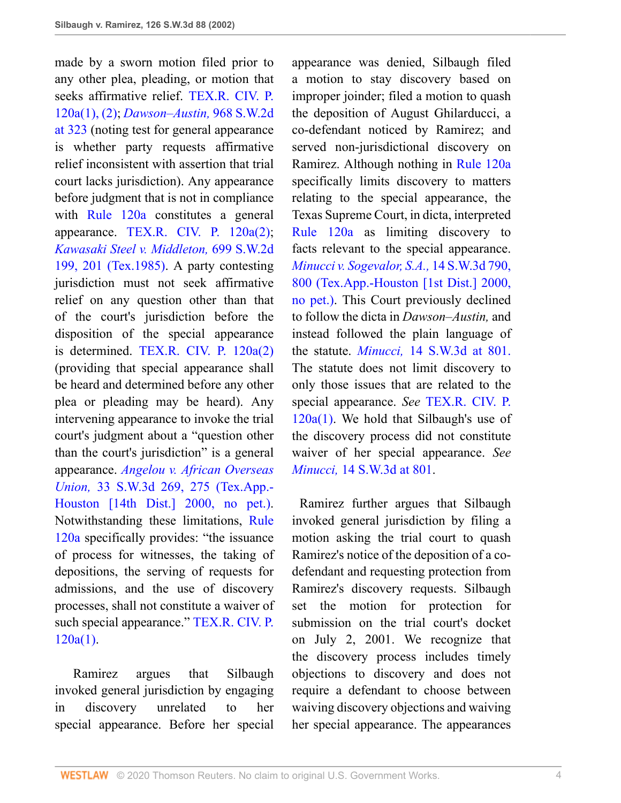made by a sworn motion filed prior to any other plea, pleading, or motion that seeks affirmative relief. [TEX.R. CIV. P.](http://www.westlaw.com/Link/Document/FullText?findType=L&pubNum=1003817&cite=TXRRCPR120A&originatingDoc=I8623cbd5e7b511d983e7e9deff98dc6f&refType=LQ&originationContext=document&vr=3.0&rs=cblt1.0&transitionType=DocumentItem&contextData=(sc.UserEnteredCitation)) [120a\(1\), \(2\);](http://www.westlaw.com/Link/Document/FullText?findType=L&pubNum=1003817&cite=TXRRCPR120A&originatingDoc=I8623cbd5e7b511d983e7e9deff98dc6f&refType=LQ&originationContext=document&vr=3.0&rs=cblt1.0&transitionType=DocumentItem&contextData=(sc.UserEnteredCitation)) *[Dawson–Austin,](http://www.westlaw.com/Link/Document/FullText?findType=Y&serNum=1998051838&pubNum=0000713&originatingDoc=I8623cbd5e7b511d983e7e9deff98dc6f&refType=RP&fi=co_pp_sp_713_323&originationContext=document&vr=3.0&rs=cblt1.0&transitionType=DocumentItem&contextData=(sc.UserEnteredCitation)#co_pp_sp_713_323)* 968 S.W.2d [at 323](http://www.westlaw.com/Link/Document/FullText?findType=Y&serNum=1998051838&pubNum=0000713&originatingDoc=I8623cbd5e7b511d983e7e9deff98dc6f&refType=RP&fi=co_pp_sp_713_323&originationContext=document&vr=3.0&rs=cblt1.0&transitionType=DocumentItem&contextData=(sc.UserEnteredCitation)#co_pp_sp_713_323) (noting test for general appearance is whether party requests affirmative relief inconsistent with assertion that trial court lacks jurisdiction). Any appearance before judgment that is not in compliance with [Rule 120a](http://www.westlaw.com/Link/Document/FullText?findType=L&pubNum=1003817&cite=TXRRCPR120A&originatingDoc=I8623cbd5e7b511d983e7e9deff98dc6f&refType=LQ&originationContext=document&vr=3.0&rs=cblt1.0&transitionType=DocumentItem&contextData=(sc.UserEnteredCitation)) constitutes a general appearance. [TEX.R. CIV. P. 120a\(2\)](http://www.westlaw.com/Link/Document/FullText?findType=L&pubNum=1003817&cite=TXRRCPR120A&originatingDoc=I8623cbd5e7b511d983e7e9deff98dc6f&refType=LQ&originationContext=document&vr=3.0&rs=cblt1.0&transitionType=DocumentItem&contextData=(sc.UserEnteredCitation)); *[Kawasaki Steel v. Middleton,](http://www.westlaw.com/Link/Document/FullText?findType=Y&serNum=1985146401&pubNum=0000713&originatingDoc=I8623cbd5e7b511d983e7e9deff98dc6f&refType=RP&fi=co_pp_sp_713_201&originationContext=document&vr=3.0&rs=cblt1.0&transitionType=DocumentItem&contextData=(sc.UserEnteredCitation)#co_pp_sp_713_201)* 699 S.W.2d [199, 201 \(Tex.1985\).](http://www.westlaw.com/Link/Document/FullText?findType=Y&serNum=1985146401&pubNum=0000713&originatingDoc=I8623cbd5e7b511d983e7e9deff98dc6f&refType=RP&fi=co_pp_sp_713_201&originationContext=document&vr=3.0&rs=cblt1.0&transitionType=DocumentItem&contextData=(sc.UserEnteredCitation)#co_pp_sp_713_201) A party contesting jurisdiction must not seek affirmative relief on any question other than that of the court's jurisdiction before the disposition of the special appearance is determined. [TEX.R. CIV. P. 120a\(2\)](http://www.westlaw.com/Link/Document/FullText?findType=L&pubNum=1003817&cite=TXRRCPR120A&originatingDoc=I8623cbd5e7b511d983e7e9deff98dc6f&refType=LQ&originationContext=document&vr=3.0&rs=cblt1.0&transitionType=DocumentItem&contextData=(sc.UserEnteredCitation)) (providing that special appearance shall be heard and determined before any other plea or pleading may be heard). Any intervening appearance to invoke the trial court's judgment about a "question other than the court's jurisdiction" is a general appearance. *[Angelou v. African Overseas](http://www.westlaw.com/Link/Document/FullText?findType=Y&serNum=2000487751&pubNum=0004644&originatingDoc=I8623cbd5e7b511d983e7e9deff98dc6f&refType=RP&fi=co_pp_sp_4644_275&originationContext=document&vr=3.0&rs=cblt1.0&transitionType=DocumentItem&contextData=(sc.UserEnteredCitation)#co_pp_sp_4644_275) Union,* [33 S.W.3d 269, 275 \(Tex.App.-](http://www.westlaw.com/Link/Document/FullText?findType=Y&serNum=2000487751&pubNum=0004644&originatingDoc=I8623cbd5e7b511d983e7e9deff98dc6f&refType=RP&fi=co_pp_sp_4644_275&originationContext=document&vr=3.0&rs=cblt1.0&transitionType=DocumentItem&contextData=(sc.UserEnteredCitation)#co_pp_sp_4644_275) [Houston \[14th Dist.\] 2000, no pet.\).](http://www.westlaw.com/Link/Document/FullText?findType=Y&serNum=2000487751&pubNum=0004644&originatingDoc=I8623cbd5e7b511d983e7e9deff98dc6f&refType=RP&fi=co_pp_sp_4644_275&originationContext=document&vr=3.0&rs=cblt1.0&transitionType=DocumentItem&contextData=(sc.UserEnteredCitation)#co_pp_sp_4644_275) Notwithstanding these limitations, [Rule](http://www.westlaw.com/Link/Document/FullText?findType=L&pubNum=1003817&cite=TXRRCPR120A&originatingDoc=I8623cbd5e7b511d983e7e9deff98dc6f&refType=LQ&originationContext=document&vr=3.0&rs=cblt1.0&transitionType=DocumentItem&contextData=(sc.UserEnteredCitation)) [120a](http://www.westlaw.com/Link/Document/FullText?findType=L&pubNum=1003817&cite=TXRRCPR120A&originatingDoc=I8623cbd5e7b511d983e7e9deff98dc6f&refType=LQ&originationContext=document&vr=3.0&rs=cblt1.0&transitionType=DocumentItem&contextData=(sc.UserEnteredCitation)) specifically provides: "the issuance of process for witnesses, the taking of depositions, the serving of requests for admissions, and the use of discovery processes, shall not constitute a waiver of such special appearance." [TEX.R. CIV. P.](http://www.westlaw.com/Link/Document/FullText?findType=L&pubNum=1003817&cite=TXRRCPR120A&originatingDoc=I8623cbd5e7b511d983e7e9deff98dc6f&refType=LQ&originationContext=document&vr=3.0&rs=cblt1.0&transitionType=DocumentItem&contextData=(sc.UserEnteredCitation)) [120a\(1\)](http://www.westlaw.com/Link/Document/FullText?findType=L&pubNum=1003817&cite=TXRRCPR120A&originatingDoc=I8623cbd5e7b511d983e7e9deff98dc6f&refType=LQ&originationContext=document&vr=3.0&rs=cblt1.0&transitionType=DocumentItem&contextData=(sc.UserEnteredCitation)).

 Ramirez argues that Silbaugh invoked general jurisdiction by engaging in discovery unrelated to her special appearance. Before her special

appearance was denied, Silbaugh filed a motion to stay discovery based on improper joinder; filed a motion to quash the deposition of August Ghilarducci, a co-defendant noticed by Ramirez; and served non-jurisdictional discovery on Ramirez. Although nothing in [Rule 120a](http://www.westlaw.com/Link/Document/FullText?findType=L&pubNum=1003817&cite=TXRRCPR120A&originatingDoc=I8623cbd5e7b511d983e7e9deff98dc6f&refType=LQ&originationContext=document&vr=3.0&rs=cblt1.0&transitionType=DocumentItem&contextData=(sc.UserEnteredCitation)) specifically limits discovery to matters relating to the special appearance, the Texas Supreme Court, in dicta, interpreted [Rule 120a](http://www.westlaw.com/Link/Document/FullText?findType=L&pubNum=1003817&cite=TXRRCPR120A&originatingDoc=I8623cbd5e7b511d983e7e9deff98dc6f&refType=LQ&originationContext=document&vr=3.0&rs=cblt1.0&transitionType=DocumentItem&contextData=(sc.UserEnteredCitation)) as limiting discovery to facts relevant to the special appearance. *[Minucci v. Sogevalor, S.A.,](http://www.westlaw.com/Link/Document/FullText?findType=Y&serNum=2000065586&pubNum=0004644&originatingDoc=I8623cbd5e7b511d983e7e9deff98dc6f&refType=RP&fi=co_pp_sp_4644_800&originationContext=document&vr=3.0&rs=cblt1.0&transitionType=DocumentItem&contextData=(sc.UserEnteredCitation)#co_pp_sp_4644_800)* 14 S.W.3d 790, [800 \(Tex.App.-Houston \[1st Dist.\] 2000,](http://www.westlaw.com/Link/Document/FullText?findType=Y&serNum=2000065586&pubNum=0004644&originatingDoc=I8623cbd5e7b511d983e7e9deff98dc6f&refType=RP&fi=co_pp_sp_4644_800&originationContext=document&vr=3.0&rs=cblt1.0&transitionType=DocumentItem&contextData=(sc.UserEnteredCitation)#co_pp_sp_4644_800) [no pet.\)](http://www.westlaw.com/Link/Document/FullText?findType=Y&serNum=2000065586&pubNum=0004644&originatingDoc=I8623cbd5e7b511d983e7e9deff98dc6f&refType=RP&fi=co_pp_sp_4644_800&originationContext=document&vr=3.0&rs=cblt1.0&transitionType=DocumentItem&contextData=(sc.UserEnteredCitation)#co_pp_sp_4644_800). This Court previously declined to follow the dicta in *Dawson–Austin,* and instead followed the plain language of the statute. *Minucci,* [14 S.W.3d at 801.](http://www.westlaw.com/Link/Document/FullText?findType=Y&serNum=2000065586&pubNum=4644&originatingDoc=I8623cbd5e7b511d983e7e9deff98dc6f&refType=RP&fi=co_pp_sp_4644_801&originationContext=document&vr=3.0&rs=cblt1.0&transitionType=DocumentItem&contextData=(sc.UserEnteredCitation)#co_pp_sp_4644_801) The statute does not limit discovery to only those issues that are related to the special appearance. *See* [TEX.R. CIV. P.](http://www.westlaw.com/Link/Document/FullText?findType=L&pubNum=1003817&cite=TXRRCPR120A&originatingDoc=I8623cbd5e7b511d983e7e9deff98dc6f&refType=LQ&originationContext=document&vr=3.0&rs=cblt1.0&transitionType=DocumentItem&contextData=(sc.UserEnteredCitation))  $120a(1)$ . We hold that Silbaugh's use of the discovery process did not constitute waiver of her special appearance. *See Minucci,* [14 S.W.3d at 801](http://www.westlaw.com/Link/Document/FullText?findType=Y&serNum=2000065586&pubNum=0004644&originatingDoc=I8623cbd5e7b511d983e7e9deff98dc6f&refType=RP&fi=co_pp_sp_4644_801&originationContext=document&vr=3.0&rs=cblt1.0&transitionType=DocumentItem&contextData=(sc.UserEnteredCitation)#co_pp_sp_4644_801).

 Ramirez further argues that Silbaugh invoked general jurisdiction by filing a motion asking the trial court to quash Ramirez's notice of the deposition of a codefendant and requesting protection from Ramirez's discovery requests. Silbaugh set the motion for protection for submission on the trial court's docket on July 2, 2001. We recognize that the discovery process includes timely objections to discovery and does not require a defendant to choose between waiving discovery objections and waiving her special appearance. The appearances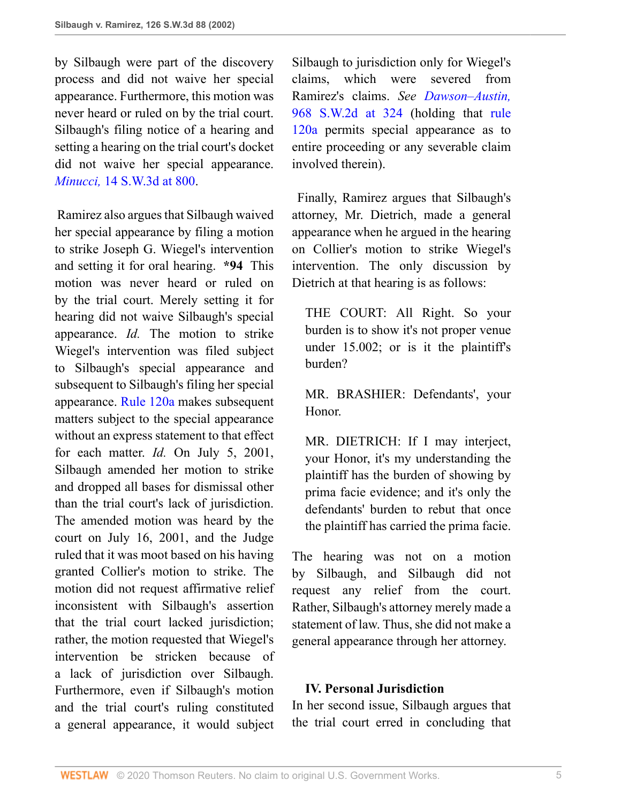by Silbaugh were part of the discovery process and did not waive her special appearance. Furthermore, this motion was never heard or ruled on by the trial court. Silbaugh's filing notice of a hearing and setting a hearing on the trial court's docket did not waive her special appearance. *Minucci,* [14 S.W.3d at 800](http://www.westlaw.com/Link/Document/FullText?findType=Y&serNum=2000065586&pubNum=0004644&originatingDoc=I8623cbd5e7b511d983e7e9deff98dc6f&refType=RP&fi=co_pp_sp_4644_800&originationContext=document&vr=3.0&rs=cblt1.0&transitionType=DocumentItem&contextData=(sc.UserEnteredCitation)#co_pp_sp_4644_800).

 Ramirez also argues that Silbaugh waived her special appearance by filing a motion to strike Joseph G. Wiegel's intervention and setting it for oral hearing. **\*94** This motion was never heard or ruled on by the trial court. Merely setting it for hearing did not waive Silbaugh's special appearance. *Id.* The motion to strike Wiegel's intervention was filed subject to Silbaugh's special appearance and subsequent to Silbaugh's filing her special appearance. [Rule 120a](http://www.westlaw.com/Link/Document/FullText?findType=L&pubNum=1003817&cite=TXRRCPR120A&originatingDoc=I8623cbd5e7b511d983e7e9deff98dc6f&refType=LQ&originationContext=document&vr=3.0&rs=cblt1.0&transitionType=DocumentItem&contextData=(sc.UserEnteredCitation)) makes subsequent matters subject to the special appearance without an express statement to that effect for each matter. *Id.* On July 5, 2001, Silbaugh amended her motion to strike and dropped all bases for dismissal other than the trial court's lack of jurisdiction. The amended motion was heard by the court on July 16, 2001, and the Judge ruled that it was moot based on his having granted Collier's motion to strike. The motion did not request affirmative relief inconsistent with Silbaugh's assertion that the trial court lacked jurisdiction; rather, the motion requested that Wiegel's intervention be stricken because of a lack of jurisdiction over Silbaugh. Furthermore, even if Silbaugh's motion and the trial court's ruling constituted a general appearance, it would subject

Silbaugh to jurisdiction only for Wiegel's claims, which were severed from Ramirez's claims. *See [Dawson–Austin,](http://www.westlaw.com/Link/Document/FullText?findType=Y&serNum=1998051838&pubNum=0000713&originatingDoc=I8623cbd5e7b511d983e7e9deff98dc6f&refType=RP&fi=co_pp_sp_713_324&originationContext=document&vr=3.0&rs=cblt1.0&transitionType=DocumentItem&contextData=(sc.UserEnteredCitation)#co_pp_sp_713_324)* [968 S.W.2d at 324](http://www.westlaw.com/Link/Document/FullText?findType=Y&serNum=1998051838&pubNum=0000713&originatingDoc=I8623cbd5e7b511d983e7e9deff98dc6f&refType=RP&fi=co_pp_sp_713_324&originationContext=document&vr=3.0&rs=cblt1.0&transitionType=DocumentItem&contextData=(sc.UserEnteredCitation)#co_pp_sp_713_324) (holding that [rule](http://www.westlaw.com/Link/Document/FullText?findType=L&pubNum=1003817&cite=TXRRCPR120A&originatingDoc=I8623cbd5e7b511d983e7e9deff98dc6f&refType=LQ&originationContext=document&vr=3.0&rs=cblt1.0&transitionType=DocumentItem&contextData=(sc.UserEnteredCitation)) [120a](http://www.westlaw.com/Link/Document/FullText?findType=L&pubNum=1003817&cite=TXRRCPR120A&originatingDoc=I8623cbd5e7b511d983e7e9deff98dc6f&refType=LQ&originationContext=document&vr=3.0&rs=cblt1.0&transitionType=DocumentItem&contextData=(sc.UserEnteredCitation)) permits special appearance as to entire proceeding or any severable claim involved therein).

 Finally, Ramirez argues that Silbaugh's attorney, Mr. Dietrich, made a general appearance when he argued in the hearing on Collier's motion to strike Wiegel's intervention. The only discussion by Dietrich at that hearing is as follows:

THE COURT: All Right. So your burden is to show it's not proper venue under 15.002; or is it the plaintiff's burden?

MR. BRASHIER: Defendants', your Honor.

MR. DIETRICH: If I may interject, your Honor, it's my understanding the plaintiff has the burden of showing by prima facie evidence; and it's only the defendants' burden to rebut that once the plaintiff has carried the prima facie.

The hearing was not on a motion by Silbaugh, and Silbaugh did not request any relief from the court. Rather, Silbaugh's attorney merely made a statement of law. Thus, she did not make a general appearance through her attorney.

## **IV. Personal Jurisdiction**

In her second issue, Silbaugh argues that the trial court erred in concluding that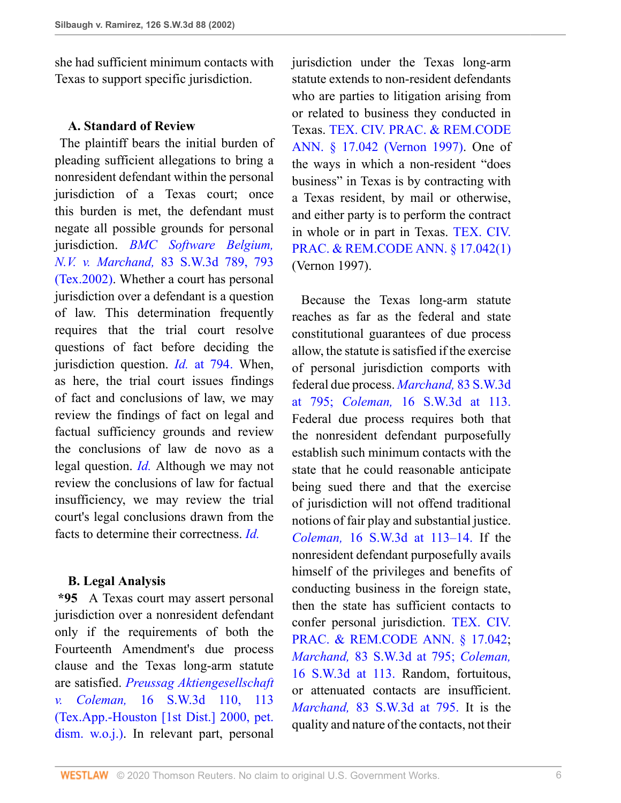she had sufficient minimum contacts with Texas to support specific jurisdiction.

#### **A. Standard of Review**

 The plaintiff bears the initial burden of pleading sufficient allegations to bring a nonresident defendant within the personal jurisdiction of a Texas court; once this burden is met, the defendant must negate all possible grounds for personal jurisdiction. *[BMC Software Belgium,](http://www.westlaw.com/Link/Document/FullText?findType=Y&serNum=2002399399&pubNum=0004644&originatingDoc=I8623cbd5e7b511d983e7e9deff98dc6f&refType=RP&fi=co_pp_sp_4644_793&originationContext=document&vr=3.0&rs=cblt1.0&transitionType=DocumentItem&contextData=(sc.UserEnteredCitation)#co_pp_sp_4644_793) N.V. v. Marchand,* [83 S.W.3d 789, 793](http://www.westlaw.com/Link/Document/FullText?findType=Y&serNum=2002399399&pubNum=0004644&originatingDoc=I8623cbd5e7b511d983e7e9deff98dc6f&refType=RP&fi=co_pp_sp_4644_793&originationContext=document&vr=3.0&rs=cblt1.0&transitionType=DocumentItem&contextData=(sc.UserEnteredCitation)#co_pp_sp_4644_793) [\(Tex.2002\)](http://www.westlaw.com/Link/Document/FullText?findType=Y&serNum=2002399399&pubNum=0004644&originatingDoc=I8623cbd5e7b511d983e7e9deff98dc6f&refType=RP&fi=co_pp_sp_4644_793&originationContext=document&vr=3.0&rs=cblt1.0&transitionType=DocumentItem&contextData=(sc.UserEnteredCitation)#co_pp_sp_4644_793). Whether a court has personal jurisdiction over a defendant is a question of law. This determination frequently requires that the trial court resolve questions of fact before deciding the jurisdiction question. *Id.* [at 794.](http://www.westlaw.com/Link/Document/FullText?findType=Y&serNum=2002399399&originatingDoc=I8623cbd5e7b511d983e7e9deff98dc6f&refType=RP&originationContext=document&vr=3.0&rs=cblt1.0&transitionType=DocumentItem&contextData=(sc.UserEnteredCitation)) When, as here, the trial court issues findings of fact and conclusions of law, we may review the findings of fact on legal and factual sufficiency grounds and review the conclusions of law de novo as a legal question. *[Id.](http://www.westlaw.com/Link/Document/FullText?findType=Y&serNum=2002399399&originatingDoc=I8623cbd5e7b511d983e7e9deff98dc6f&refType=RP&originationContext=document&vr=3.0&rs=cblt1.0&transitionType=DocumentItem&contextData=(sc.UserEnteredCitation))* Although we may not review the conclusions of law for factual insufficiency, we may review the trial court's legal conclusions drawn from the facts to determine their correctness. *[Id.](http://www.westlaw.com/Link/Document/FullText?findType=Y&serNum=2002399399&originatingDoc=I8623cbd5e7b511d983e7e9deff98dc6f&refType=RP&originationContext=document&vr=3.0&rs=cblt1.0&transitionType=DocumentItem&contextData=(sc.UserEnteredCitation))*

#### **B. Legal Analysis**

**\*95** A Texas court may assert personal jurisdiction over a nonresident defendant only if the requirements of both the Fourteenth Amendment's due process clause and the Texas long-arm statute are satisfied. *[Preussag Aktiengesellschaft](http://www.westlaw.com/Link/Document/FullText?findType=Y&serNum=2000088194&pubNum=4644&originatingDoc=I8623cbd5e7b511d983e7e9deff98dc6f&refType=RP&fi=co_pp_sp_4644_113&originationContext=document&vr=3.0&rs=cblt1.0&transitionType=DocumentItem&contextData=(sc.UserEnteredCitation)#co_pp_sp_4644_113) v. Coleman,* [16 S.W.3d 110, 113](http://www.westlaw.com/Link/Document/FullText?findType=Y&serNum=2000088194&pubNum=4644&originatingDoc=I8623cbd5e7b511d983e7e9deff98dc6f&refType=RP&fi=co_pp_sp_4644_113&originationContext=document&vr=3.0&rs=cblt1.0&transitionType=DocumentItem&contextData=(sc.UserEnteredCitation)#co_pp_sp_4644_113) [\(Tex.App.-Houston \[1st Dist.\] 2000, pet.](http://www.westlaw.com/Link/Document/FullText?findType=Y&serNum=2000088194&pubNum=4644&originatingDoc=I8623cbd5e7b511d983e7e9deff98dc6f&refType=RP&fi=co_pp_sp_4644_113&originationContext=document&vr=3.0&rs=cblt1.0&transitionType=DocumentItem&contextData=(sc.UserEnteredCitation)#co_pp_sp_4644_113) [dism. w.o.j.\).](http://www.westlaw.com/Link/Document/FullText?findType=Y&serNum=2000088194&pubNum=4644&originatingDoc=I8623cbd5e7b511d983e7e9deff98dc6f&refType=RP&fi=co_pp_sp_4644_113&originationContext=document&vr=3.0&rs=cblt1.0&transitionType=DocumentItem&contextData=(sc.UserEnteredCitation)#co_pp_sp_4644_113) In relevant part, personal

jurisdiction under the Texas long-arm statute extends to non-resident defendants who are parties to litigation arising from or related to business they conducted in Texas. [TEX. CIV. PRAC. & REM.CODE](http://www.westlaw.com/Link/Document/FullText?findType=L&pubNum=1000170&cite=TXCPS17.042&originatingDoc=I8623cbd5e7b511d983e7e9deff98dc6f&refType=LQ&originationContext=document&vr=3.0&rs=cblt1.0&transitionType=DocumentItem&contextData=(sc.UserEnteredCitation)) [ANN. § 17.042 \(Vernon 1997\).](http://www.westlaw.com/Link/Document/FullText?findType=L&pubNum=1000170&cite=TXCPS17.042&originatingDoc=I8623cbd5e7b511d983e7e9deff98dc6f&refType=LQ&originationContext=document&vr=3.0&rs=cblt1.0&transitionType=DocumentItem&contextData=(sc.UserEnteredCitation)) One of the ways in which a non-resident "does business" in Texas is by contracting with a Texas resident, by mail or otherwise, and either party is to perform the contract in whole or in part in Texas. [TEX. CIV.](http://www.westlaw.com/Link/Document/FullText?findType=L&pubNum=1000170&cite=TXCPS17.042&originatingDoc=I8623cbd5e7b511d983e7e9deff98dc6f&refType=SP&originationContext=document&vr=3.0&rs=cblt1.0&transitionType=DocumentItem&contextData=(sc.UserEnteredCitation)#co_pp_f1c50000821b0) [PRAC. & REM.CODE ANN. § 17.042\(1\)](http://www.westlaw.com/Link/Document/FullText?findType=L&pubNum=1000170&cite=TXCPS17.042&originatingDoc=I8623cbd5e7b511d983e7e9deff98dc6f&refType=SP&originationContext=document&vr=3.0&rs=cblt1.0&transitionType=DocumentItem&contextData=(sc.UserEnteredCitation)#co_pp_f1c50000821b0) (Vernon 1997).

 Because the Texas long-arm statute reaches as far as the federal and state constitutional guarantees of due process allow, the statute is satisfied if the exercise of personal jurisdiction comports with federal due process. *[Marchand,](http://www.westlaw.com/Link/Document/FullText?findType=Y&serNum=2002399399&pubNum=4644&originatingDoc=I8623cbd5e7b511d983e7e9deff98dc6f&refType=RP&fi=co_pp_sp_4644_795&originationContext=document&vr=3.0&rs=cblt1.0&transitionType=DocumentItem&contextData=(sc.UserEnteredCitation)#co_pp_sp_4644_795)* 83 S.W.3d [at 795;](http://www.westlaw.com/Link/Document/FullText?findType=Y&serNum=2002399399&pubNum=4644&originatingDoc=I8623cbd5e7b511d983e7e9deff98dc6f&refType=RP&fi=co_pp_sp_4644_795&originationContext=document&vr=3.0&rs=cblt1.0&transitionType=DocumentItem&contextData=(sc.UserEnteredCitation)#co_pp_sp_4644_795) *Coleman,* [16 S.W.3d at 113.](http://www.westlaw.com/Link/Document/FullText?findType=Y&serNum=2000088194&pubNum=4644&originatingDoc=I8623cbd5e7b511d983e7e9deff98dc6f&refType=RP&fi=co_pp_sp_4644_113&originationContext=document&vr=3.0&rs=cblt1.0&transitionType=DocumentItem&contextData=(sc.UserEnteredCitation)#co_pp_sp_4644_113) Federal due process requires both that the nonresident defendant purposefully establish such minimum contacts with the state that he could reasonable anticipate being sued there and that the exercise of jurisdiction will not offend traditional notions of fair play and substantial justice. *Coleman,* [16 S.W.3d at 113–14.](http://www.westlaw.com/Link/Document/FullText?findType=Y&serNum=2000088194&pubNum=4644&originatingDoc=I8623cbd5e7b511d983e7e9deff98dc6f&refType=RP&fi=co_pp_sp_4644_113&originationContext=document&vr=3.0&rs=cblt1.0&transitionType=DocumentItem&contextData=(sc.UserEnteredCitation)#co_pp_sp_4644_113) If the nonresident defendant purposefully avails himself of the privileges and benefits of conducting business in the foreign state, then the state has sufficient contacts to confer personal jurisdiction. [TEX. CIV.](http://www.westlaw.com/Link/Document/FullText?findType=L&pubNum=1000170&cite=TXCPS17.042&originatingDoc=I8623cbd5e7b511d983e7e9deff98dc6f&refType=LQ&originationContext=document&vr=3.0&rs=cblt1.0&transitionType=DocumentItem&contextData=(sc.UserEnteredCitation)) [PRAC. & REM.CODE ANN. § 17.042](http://www.westlaw.com/Link/Document/FullText?findType=L&pubNum=1000170&cite=TXCPS17.042&originatingDoc=I8623cbd5e7b511d983e7e9deff98dc6f&refType=LQ&originationContext=document&vr=3.0&rs=cblt1.0&transitionType=DocumentItem&contextData=(sc.UserEnteredCitation)); *Marchand,* [83 S.W.3d at 795;](http://www.westlaw.com/Link/Document/FullText?findType=Y&serNum=2002399399&pubNum=4644&originatingDoc=I8623cbd5e7b511d983e7e9deff98dc6f&refType=RP&fi=co_pp_sp_4644_795&originationContext=document&vr=3.0&rs=cblt1.0&transitionType=DocumentItem&contextData=(sc.UserEnteredCitation)#co_pp_sp_4644_795) *[Coleman,](http://www.westlaw.com/Link/Document/FullText?findType=Y&serNum=2000088194&pubNum=4644&originatingDoc=I8623cbd5e7b511d983e7e9deff98dc6f&refType=RP&fi=co_pp_sp_4644_113&originationContext=document&vr=3.0&rs=cblt1.0&transitionType=DocumentItem&contextData=(sc.UserEnteredCitation)#co_pp_sp_4644_113)* [16 S.W.3d at 113.](http://www.westlaw.com/Link/Document/FullText?findType=Y&serNum=2000088194&pubNum=4644&originatingDoc=I8623cbd5e7b511d983e7e9deff98dc6f&refType=RP&fi=co_pp_sp_4644_113&originationContext=document&vr=3.0&rs=cblt1.0&transitionType=DocumentItem&contextData=(sc.UserEnteredCitation)#co_pp_sp_4644_113) Random, fortuitous, or attenuated contacts are insufficient. *Marchand,* [83 S.W.3d at 795.](http://www.westlaw.com/Link/Document/FullText?findType=Y&serNum=2002399399&pubNum=4644&originatingDoc=I8623cbd5e7b511d983e7e9deff98dc6f&refType=RP&fi=co_pp_sp_4644_795&originationContext=document&vr=3.0&rs=cblt1.0&transitionType=DocumentItem&contextData=(sc.UserEnteredCitation)#co_pp_sp_4644_795) It is the quality and nature of the contacts, not their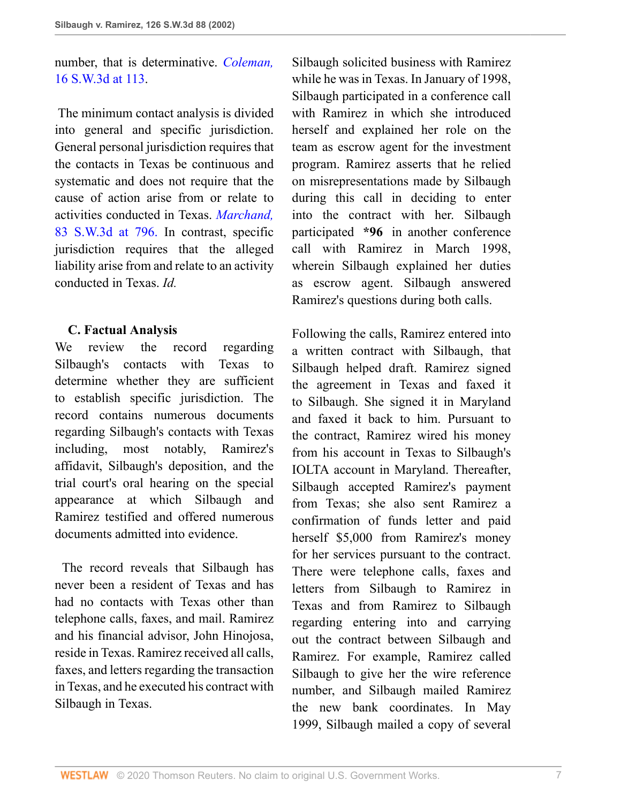## number, that is determinative. *[Coleman,](http://www.westlaw.com/Link/Document/FullText?findType=Y&serNum=2000088194&pubNum=0004644&originatingDoc=I8623cbd5e7b511d983e7e9deff98dc6f&refType=RP&fi=co_pp_sp_4644_113&originationContext=document&vr=3.0&rs=cblt1.0&transitionType=DocumentItem&contextData=(sc.UserEnteredCitation)#co_pp_sp_4644_113)* [16 S.W.3d at 113.](http://www.westlaw.com/Link/Document/FullText?findType=Y&serNum=2000088194&pubNum=0004644&originatingDoc=I8623cbd5e7b511d983e7e9deff98dc6f&refType=RP&fi=co_pp_sp_4644_113&originationContext=document&vr=3.0&rs=cblt1.0&transitionType=DocumentItem&contextData=(sc.UserEnteredCitation)#co_pp_sp_4644_113)

 The minimum contact analysis is divided into general and specific jurisdiction. General personal jurisdiction requires that the contacts in Texas be continuous and systematic and does not require that the cause of action arise from or relate to activities conducted in Texas. *[Marchand,](http://www.westlaw.com/Link/Document/FullText?findType=Y&serNum=2002399399&pubNum=4644&originatingDoc=I8623cbd5e7b511d983e7e9deff98dc6f&refType=RP&fi=co_pp_sp_4644_796&originationContext=document&vr=3.0&rs=cblt1.0&transitionType=DocumentItem&contextData=(sc.UserEnteredCitation)#co_pp_sp_4644_796)* [83 S.W.3d at 796.](http://www.westlaw.com/Link/Document/FullText?findType=Y&serNum=2002399399&pubNum=4644&originatingDoc=I8623cbd5e7b511d983e7e9deff98dc6f&refType=RP&fi=co_pp_sp_4644_796&originationContext=document&vr=3.0&rs=cblt1.0&transitionType=DocumentItem&contextData=(sc.UserEnteredCitation)#co_pp_sp_4644_796) In contrast, specific jurisdiction requires that the alleged liability arise from and relate to an activity conducted in Texas. *Id.*

## **C. Factual Analysis**

We review the record regarding Silbaugh's contacts with Texas to determine whether they are sufficient to establish specific jurisdiction. The record contains numerous documents regarding Silbaugh's contacts with Texas including, most notably, Ramirez's affidavit, Silbaugh's deposition, and the trial court's oral hearing on the special appearance at which Silbaugh and Ramirez testified and offered numerous documents admitted into evidence.

 The record reveals that Silbaugh has never been a resident of Texas and has had no contacts with Texas other than telephone calls, faxes, and mail. Ramirez and his financial advisor, John Hinojosa, reside in Texas. Ramirez received all calls, faxes, and letters regarding the transaction in Texas, and he executed his contract with Silbaugh in Texas.

Silbaugh solicited business with Ramirez while he was in Texas. In January of 1998, Silbaugh participated in a conference call with Ramirez in which she introduced herself and explained her role on the team as escrow agent for the investment program. Ramirez asserts that he relied on misrepresentations made by Silbaugh during this call in deciding to enter into the contract with her. Silbaugh participated **\*96** in another conference call with Ramirez in March 1998, wherein Silbaugh explained her duties as escrow agent. Silbaugh answered Ramirez's questions during both calls.

Following the calls, Ramirez entered into a written contract with Silbaugh, that Silbaugh helped draft. Ramirez signed the agreement in Texas and faxed it to Silbaugh. She signed it in Maryland and faxed it back to him. Pursuant to the contract, Ramirez wired his money from his account in Texas to Silbaugh's IOLTA account in Maryland. Thereafter, Silbaugh accepted Ramirez's payment from Texas; she also sent Ramirez a confirmation of funds letter and paid herself \$5,000 from Ramirez's money for her services pursuant to the contract. There were telephone calls, faxes and letters from Silbaugh to Ramirez in Texas and from Ramirez to Silbaugh regarding entering into and carrying out the contract between Silbaugh and Ramirez. For example, Ramirez called Silbaugh to give her the wire reference number, and Silbaugh mailed Ramirez the new bank coordinates. In May 1999, Silbaugh mailed a copy of several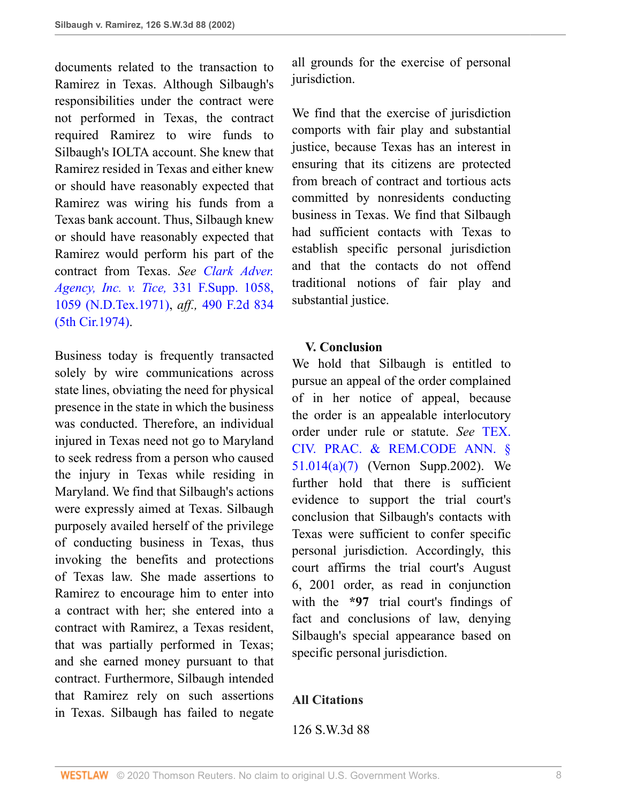documents related to the transaction to Ramirez in Texas. Although Silbaugh's responsibilities under the contract were not performed in Texas, the contract required Ramirez to wire funds to Silbaugh's IOLTA account. She knew that Ramirez resided in Texas and either knew or should have reasonably expected that Ramirez was wiring his funds from a Texas bank account. Thus, Silbaugh knew or should have reasonably expected that Ramirez would perform his part of the contract from Texas. *See [Clark Adver.](http://www.westlaw.com/Link/Document/FullText?findType=Y&serNum=1971106593&pubNum=0000345&originatingDoc=I8623cbd5e7b511d983e7e9deff98dc6f&refType=RP&fi=co_pp_sp_345_1059&originationContext=document&vr=3.0&rs=cblt1.0&transitionType=DocumentItem&contextData=(sc.UserEnteredCitation)#co_pp_sp_345_1059) [Agency, Inc. v. Tice,](http://www.westlaw.com/Link/Document/FullText?findType=Y&serNum=1971106593&pubNum=0000345&originatingDoc=I8623cbd5e7b511d983e7e9deff98dc6f&refType=RP&fi=co_pp_sp_345_1059&originationContext=document&vr=3.0&rs=cblt1.0&transitionType=DocumentItem&contextData=(sc.UserEnteredCitation)#co_pp_sp_345_1059)* 331 F.Supp. 1058, [1059 \(N.D.Tex.1971\),](http://www.westlaw.com/Link/Document/FullText?findType=Y&serNum=1971106593&pubNum=0000345&originatingDoc=I8623cbd5e7b511d983e7e9deff98dc6f&refType=RP&fi=co_pp_sp_345_1059&originationContext=document&vr=3.0&rs=cblt1.0&transitionType=DocumentItem&contextData=(sc.UserEnteredCitation)#co_pp_sp_345_1059) *aff.,* [490 F.2d 834](http://www.westlaw.com/Link/Document/FullText?findType=Y&serNum=1974108974&pubNum=0000350&originatingDoc=I8623cbd5e7b511d983e7e9deff98dc6f&refType=RP&originationContext=document&vr=3.0&rs=cblt1.0&transitionType=DocumentItem&contextData=(sc.UserEnteredCitation)) [\(5th Cir.1974\).](http://www.westlaw.com/Link/Document/FullText?findType=Y&serNum=1974108974&pubNum=0000350&originatingDoc=I8623cbd5e7b511d983e7e9deff98dc6f&refType=RP&originationContext=document&vr=3.0&rs=cblt1.0&transitionType=DocumentItem&contextData=(sc.UserEnteredCitation))

Business today is frequently transacted solely by wire communications across state lines, obviating the need for physical presence in the state in which the business was conducted. Therefore, an individual injured in Texas need not go to Maryland to seek redress from a person who caused the injury in Texas while residing in Maryland. We find that Silbaugh's actions were expressly aimed at Texas. Silbaugh purposely availed herself of the privilege of conducting business in Texas, thus invoking the benefits and protections of Texas law. She made assertions to Ramirez to encourage him to enter into a contract with her; she entered into a contract with Ramirez, a Texas resident, that was partially performed in Texas; and she earned money pursuant to that contract. Furthermore, Silbaugh intended that Ramirez rely on such assertions in Texas. Silbaugh has failed to negate

all grounds for the exercise of personal jurisdiction.

We find that the exercise of jurisdiction comports with fair play and substantial justice, because Texas has an interest in ensuring that its citizens are protected from breach of contract and tortious acts committed by nonresidents conducting business in Texas. We find that Silbaugh had sufficient contacts with Texas to establish specific personal jurisdiction and that the contacts do not offend traditional notions of fair play and substantial justice.

## **V. Conclusion**

We hold that Silbaugh is entitled to pursue an appeal of the order complained of in her notice of appeal, because the order is an appealable interlocutory order under rule or statute. *See* [TEX.](http://www.westlaw.com/Link/Document/FullText?findType=L&pubNum=1000170&cite=TXCPS51.014&originatingDoc=I8623cbd5e7b511d983e7e9deff98dc6f&refType=SP&originationContext=document&vr=3.0&rs=cblt1.0&transitionType=DocumentItem&contextData=(sc.UserEnteredCitation)#co_pp_36f10000408d4) [CIV. PRAC. & REM.CODE ANN. §](http://www.westlaw.com/Link/Document/FullText?findType=L&pubNum=1000170&cite=TXCPS51.014&originatingDoc=I8623cbd5e7b511d983e7e9deff98dc6f&refType=SP&originationContext=document&vr=3.0&rs=cblt1.0&transitionType=DocumentItem&contextData=(sc.UserEnteredCitation)#co_pp_36f10000408d4) [51.014\(a\)\(7\)](http://www.westlaw.com/Link/Document/FullText?findType=L&pubNum=1000170&cite=TXCPS51.014&originatingDoc=I8623cbd5e7b511d983e7e9deff98dc6f&refType=SP&originationContext=document&vr=3.0&rs=cblt1.0&transitionType=DocumentItem&contextData=(sc.UserEnteredCitation)#co_pp_36f10000408d4) (Vernon Supp.2002). We further hold that there is sufficient evidence to support the trial court's conclusion that Silbaugh's contacts with Texas were sufficient to confer specific personal jurisdiction. Accordingly, this court affirms the trial court's August 6, 2001 order, as read in conjunction with the **\*97** trial court's findings of fact and conclusions of law, denying Silbaugh's special appearance based on specific personal jurisdiction.

## **All Citations**

#### 126 S.W.3d 88